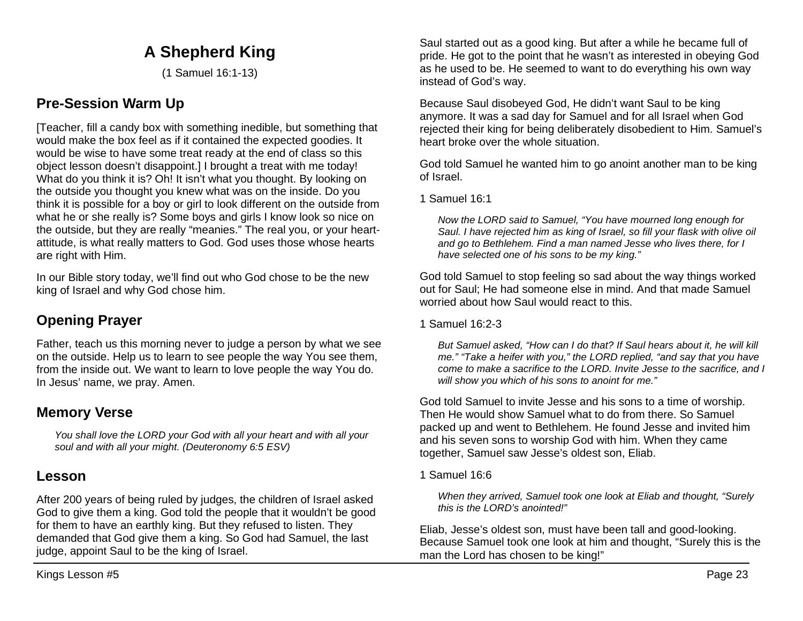# **A Shepherd King**

(1 Samuel 16:1-13)

## **Pre-Session Warm Up**

[Teacher, fill a candy box with something inedible, but something that would make the box feel as if it contained the expected goodies. It would be wise to have some treat ready at the end of class so this object lesson doesn't disappoint.] I brought a treat with me today! What do you think it is? Oh! It isn't what you thought. By looking on the outside you thought you knew what was on the inside. Do you think it is possible for a boy or girl to look different on the outside from what he or she really is? Some boys and girls I know look so nice on the outside, but they are really "meanies." The real you, or your heartattitude, is what really matters to God. God uses those whose hearts are right with Him.

In our Bible story today, we'll find out who God chose to be the new king of Israel and why God chose him.

# **Opening Prayer**

Father, teach us this morning never to judge a person by what we see on the outside. Help us to learn to see people the way You see them, from the inside out. We want to learn to love people the way You do. In Jesus' name, we pray. Amen.

## **Memory Verse**

*You shall love the LORD your God with all your heart and with all your soul and with all your might. (Deuteronomy 6:5 ESV)*

## **Lesson**

After 200 years of being ruled by judges, the children of Israel asked God to give them a king. God told the people that it wouldn't be good for them to have an earthly king. But they refused to listen. They demanded that God give them a king. So God had Samuel, the last judge, appoint Saul to be the king of Israel.

Saul started out as a good king. But after a while he became full of pride. He got to the point that he wasn't as interested in obeying God as he used to be. He seemed to want to do everything his own way instead of God's way.

Because Saul disobeyed God, He didn't want Saul to be king anymore. It was a sad day for Samuel and for all Israel when God rejected their king for being deliberately disobedient to Him. Samuel's heart broke over the whole situation.

God told Samuel he wanted him to go anoint another man to be king of Israel.

1 Samuel 16:1

*Now the LORD said to Samuel, "You have mourned long enough for Saul. I have rejected him as king of Israel, so fill your flask with olive oil and go to Bethlehem. Find a man named Jesse who lives there, for I have selected one of his sons to be my king."*

God told Samuel to stop feeling so sad about the way things worked out for Saul; He had someone else in mind. And that made Samuel worried about how Saul would react to this.

1 Samuel 16:2-3

*But Samuel asked, "How can I do that? If Saul hears about it, he will kill me." "Take a heifer with you," the LORD replied, "and say that you have come to make a sacrifice to the LORD. Invite Jesse to the sacrifice, and I will show you which of his sons to anoint for me."* 

God told Samuel to invite Jesse and his sons to a time of worship. Then He would show Samuel what to do from there. So Samuel packed up and went to Bethlehem. He found Jesse and invited him and his seven sons to worship God with him. When they came together, Samuel saw Jesse's oldest son, Eliab.

1 Samuel 16:6

*When they arrived, Samuel took one look at Eliab and thought, "Surely this is the LORD's anointed!"*

Eliab, Jesse's oldest son, must have been tall and good-looking. Because Samuel took one look at him and thought, "Surely this is the man the Lord has chosen to be king!"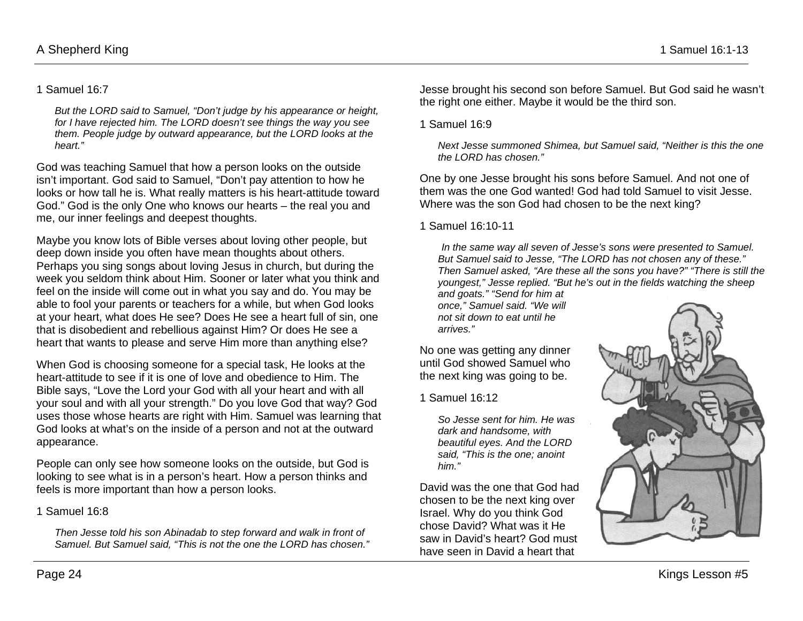### 1 Samuel 16:7

*But the LORD said to Samuel, "Don't judge by his appearance or height, for I have rejected him. The LORD doesn't see things the way you see them. People judge by outward appearance, but the LORD looks at the heart."*

God was teaching Samuel that how a person looks on the outside isn't important. God said to Samuel, "Don't pay attention to how he looks or how tall he is. What really matters is his heart-attitude toward God." God is the only One who knows our hearts – the real you and me, our inner feelings and deepest thoughts.

Maybe you know lots of Bible verses about loving other people, but deep down inside you often have mean thoughts about others. Perhaps you sing songs about loving Jesus in church, but during the week you seldom think about Him. Sooner or later what you think and feel on the inside will come out in what you say and do. You may be able to fool your parents or teachers for a while, but when God looks at your heart, what does He see? Does He see a heart full of sin, one that is disobedient and rebellious against Him? Or does He see a heart that wants to please and serve Him more than anything else?

When God is choosing someone for a special task, He looks at the heart-attitude to see if it is one of love and obedience to Him. The Bible says, "Love the Lord your God with all your heart and with all your soul and with all your strength." Do you love God that way? God uses those whose hearts are right with Him. Samuel was learning that God looks at what's on the inside of a person and not at the outward appearance.

People can only see how someone looks on the outside, but God is looking to see what is in a person's heart. How a person thinks and feels is more important than how a person looks.

1 Samuel 16:8

*Then Jesse told his son Abinadab to step forward and walk in front of Samuel. But Samuel said, "This is not the one the LORD has chosen."* Jesse brought his second son before Samuel. But God said he wasn't the right one either. Maybe it would be the third son.

1 Samuel 16:9

*Next Jesse summoned Shimea, but Samuel said, "Neither is this the one the LORD has chosen."*

One by one Jesse brought his sons before Samuel. And not one of them was the one God wanted! God had told Samuel to visit Jesse. Where was the son God had chosen to be the next king?

1 Samuel 16:10-11

*In the same way all seven of Jesse's sons were presented to Samuel. But Samuel said to Jesse, "The LORD has not chosen any of these." Then Samuel asked, "Are these all the sons you have?" "There is still the youngest," Jesse replied. "But he's out in the fields watching the sheep and goats." "Send for him at* 

*once," Samuel said. "We will not sit down to eat until he arrives."* 

No one was getting any dinner until God showed Samuel who the next king was going to be.

1 Samuel 16:12

*So Jesse sent for him. He was dark and handsome, with beautiful eyes. And the LORD said, "This is the one; anoint him."*

David was the one that God had chosen to be the next king over Israel. Why do you think God chose David? What was it He saw in David's heart? God must have seen in David a heart that

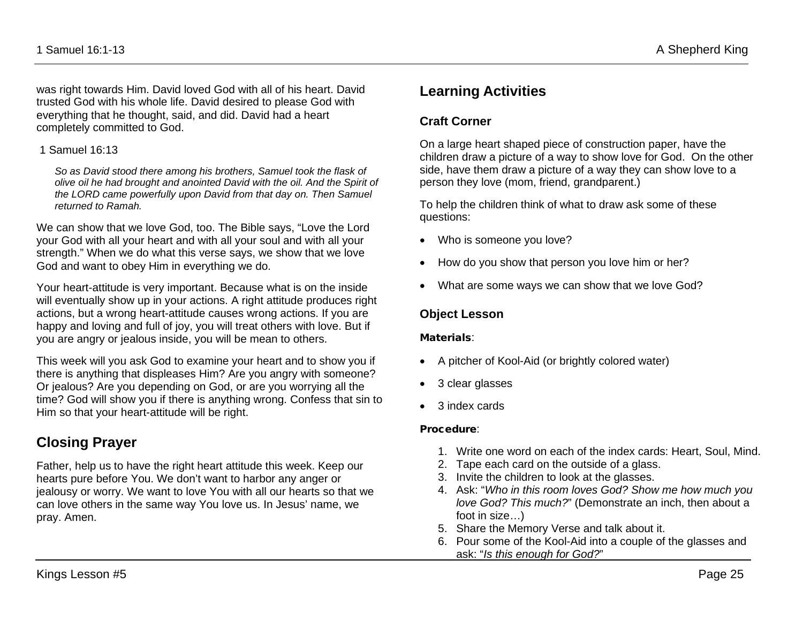was right towards Him. David loved God with all of his heart. David trusted God with his whole life. David desired to please God with everything that he thought, said, and did. David had a heart completely committed to God.

#### 1 Samuel 16:13

*So as David stood there among his brothers, Samuel took the flask of olive oil he had brought and anointed David with the oil. And the Spirit of the LORD came powerfully upon David from that day on. Then Samuel returned to Ramah.*

We can show that we love God, too. The Bible says, "Love the Lord your God with all your heart and with all your soul and with all your strength." When we do what this verse says, we show that we love God and want to obey Him in everything we do.

Your heart-attitude is very important. Because what is on the inside will eventually show up in your actions. A right attitude produces right actions, but a wrong heart-attitude causes wrong actions. If you are happy and loving and full of joy, you will treat others with love. But if you are angry or jealous inside, you will be mean to others.

This week will you ask God to examine your heart and to show you if there is anything that displeases Him? Are you angry with someone? Or jealous? Are you depending on God, or are you worrying all the time? God will show you if there is anything wrong. Confess that sin to Him so that your heart-attitude will be right.

## **Closing Prayer**

Father, help us to have the right heart attitude this week. Keep our hearts pure before You. We don't want to harbor any anger or jealousy or worry. We want to love You with all our hearts so that we can love others in the same way You love us. In Jesus' name, we pray. Amen.

# **Learning Activities**

### **Craft Corner**

On a large heart shaped piece of construction paper, have the children draw a picture of a way to show love for God. On the other side, have them draw a picture of a way they can show love to a person they love (mom, friend, grandparent.)

To help the children think of what to draw ask some of these questions:

- Who is someone you love?
- How do you show that person you love him or her?
- What are some ways we can show that we love God?

## **Object Lesson**

### Materials:

- A pitcher of Kool-Aid (or brightly colored water)
- 3 clear glasses
- 3 index cards

### Procedure:

- 1. Write one word on each of the index cards: Heart, Soul, Mind.
- 2. Tape each card on the outside of a glass.
- 3. Invite the children to look at the glasses.
- 4. Ask: "*Who in this room loves God? Show me how much you love God? This much?*" (Demonstrate an inch, then about a foot in size…)
- 5. Share the Memory Verse and talk about it.
- 6. Pour some of the Kool-Aid into a couple of the glasses and ask: "*Is this enough for God?*"